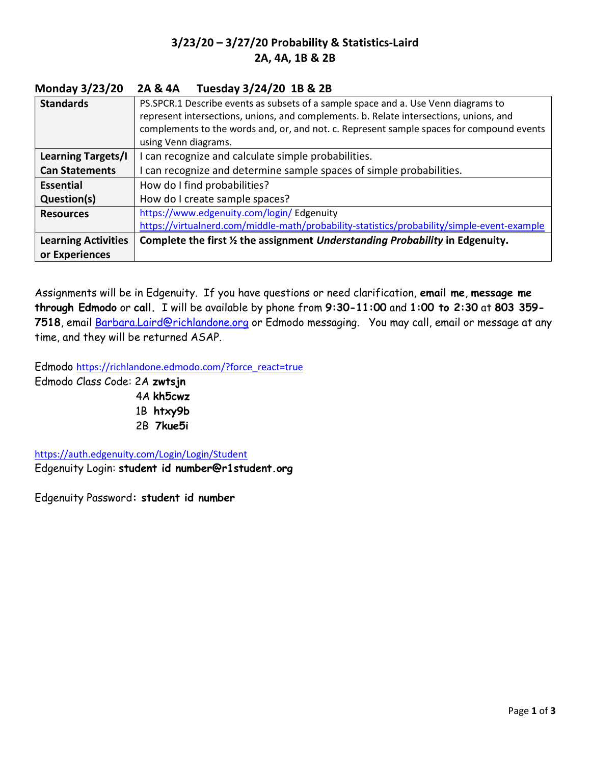## 3/23/20 – 3/27/20 Probability & Statistics-Laird 2A, 4A, 1B & 2B

## Monday 3/23/20 2A & 4A Tuesday 3/24/20 1B & 2B

| <b>Standards</b>           | PS.SPCR.1 Describe events as subsets of a sample space and a. Use Venn diagrams to          |
|----------------------------|---------------------------------------------------------------------------------------------|
|                            | represent intersections, unions, and complements. b. Relate intersections, unions, and      |
|                            | complements to the words and, or, and not. c. Represent sample spaces for compound events   |
|                            | using Venn diagrams.                                                                        |
| Learning Targets/I         | I can recognize and calculate simple probabilities.                                         |
| <b>Can Statements</b>      | I can recognize and determine sample spaces of simple probabilities.                        |
| <b>Essential</b>           | How do I find probabilities?                                                                |
| Question(s)                | How do I create sample spaces?                                                              |
| <b>Resources</b>           | https://www.edgenuity.com/login/ Edgenuity                                                  |
|                            | https://virtualnerd.com/middle-math/probability-statistics/probability/simple-event-example |
| <b>Learning Activities</b> | Complete the first 1/2 the assignment Understanding Probability in Edgenuity.               |
| or Experiences             |                                                                                             |

Assignments will be in Edgenuity. If you have questions or need clarification, email me, message me through Edmodo or call. I will be available by phone from 9:30-11:00 and 1:00 to 2:30 at 803 359- 7518, email Barbara.Laird@richlandone.org or Edmodo messaging. You may call, email or message at any time, and they will be returned ASAP.

Edmodo https://richlandone.edmodo.com/?force\_react=true Edmodo Class Code: 2A zwtsjn 4A kh5cwz 1B htxy9b 2B 7kue5i

https://auth.edgenuity.com/Login/Login/Student Edgenuity Login: student id number@r1student.org

Edgenuity Password: student id number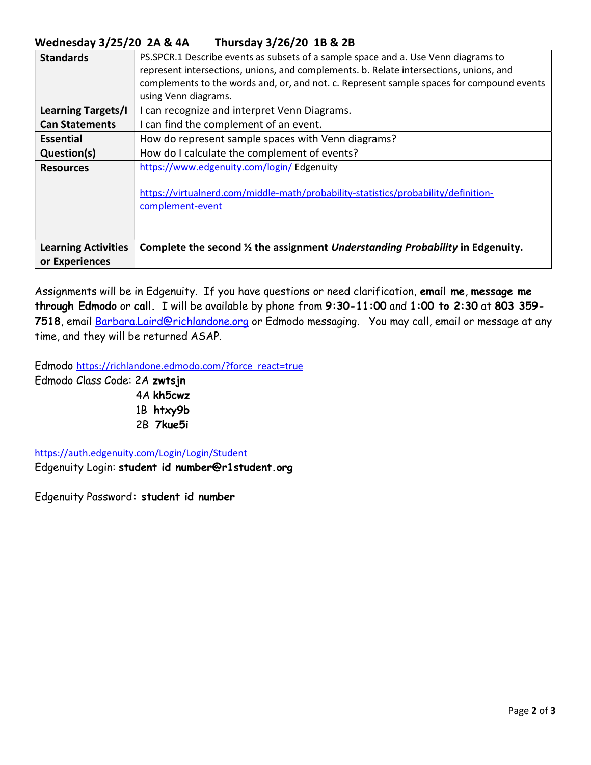## Wednesday 3/25/20 2A & 4A Thursday 3/26/20 1B & 2B

| <b>Standards</b>           | PS.SPCR.1 Describe events as subsets of a sample space and a. Use Venn diagrams to                     |
|----------------------------|--------------------------------------------------------------------------------------------------------|
|                            | represent intersections, unions, and complements. b. Relate intersections, unions, and                 |
|                            | complements to the words and, or, and not. c. Represent sample spaces for compound events              |
|                            | using Venn diagrams.                                                                                   |
| <b>Learning Targets/I</b>  | I can recognize and interpret Venn Diagrams.                                                           |
| <b>Can Statements</b>      | I can find the complement of an event.                                                                 |
| <b>Essential</b>           | How do represent sample spaces with Venn diagrams?                                                     |
| Question(s)                | How do I calculate the complement of events?                                                           |
| <b>Resources</b>           | https://www.edgenuity.com/login/ Edgenuity                                                             |
|                            | https://virtualnerd.com/middle-math/probability-statistics/probability/definition-<br>complement-event |
| <b>Learning Activities</b> | Complete the second 1/2 the assignment Understanding Probability in Edgenuity.                         |
| or Experiences             |                                                                                                        |

Assignments will be in Edgenuity. If you have questions or need clarification, email me, message me through Edmodo or call. I will be available by phone from 9:30-11:00 and 1:00 to 2:30 at 803 359- 7518, email Barbara.Laird@richlandone.org or Edmodo messaging. You may call, email or message at any time, and they will be returned ASAP.

Edmodo https://richlandone.edmodo.com/?force\_react=true Edmodo Class Code: 2A zwtsjn

 4A kh5cwz 1B htxy9b 2B 7kue5i

https://auth.edgenuity.com/Login/Login/Student Edgenuity Login: student id number@r1student.org

Edgenuity Password: student id number